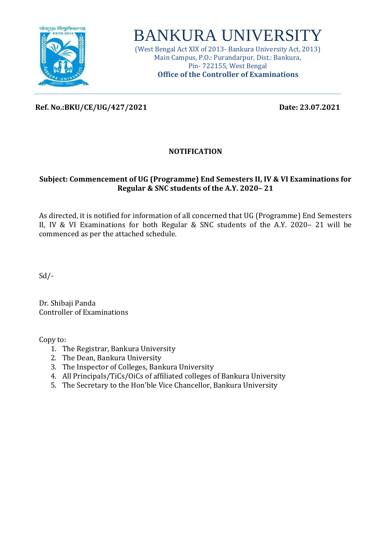

# BANKURA UNIVERSITY

(West Bengal Act XIX of 2013- Bankura University Act, 2013) Main Campus, P.O.: Purandarpur, Dist.: Bankura, Pin- 722155, West Bengal **Office of the Controller of Examinations**

**Ref. No.:BKU/CE/UG/427/2021 Date: 23.07.2021**

#### **NOTIFICATION**

#### **Subject: Commencement of UG (Programme) End Semesters II, IV & VI Examinations for Regular & SNC students of the A.Y. 2020– 21**

As directed, it is notified for information of all concerned that UG (Programme) End Semesters II, IV & VI Examinations for both Regular & SNC students of the A.Y. 2020– 21 will be commenced as per the attached schedule.

Sd/-

Dr. Shibaji Panda Controller of Examinations

Copy to:

- 1. The Registrar, Bankura University
- 2. The Dean, Bankura University
- 3. The Inspector of Colleges, Bankura University
- 4. All Principals/TiCs/OiCs of affiliated colleges of Bankura University
- 5. The Secretary to the Hon'ble Vice Chancellor, Bankura University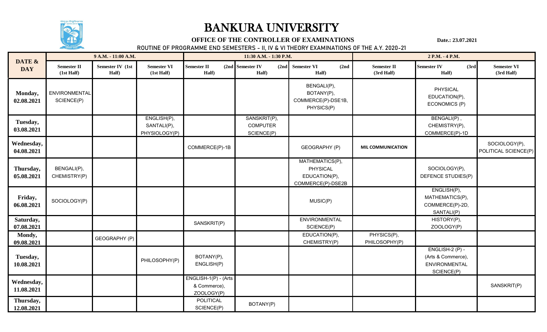

### BANKURA UNIVERSITY

#### **OFFICE OF THE CONTROLLER OF EXAMINATIONS** Date.: 23.07.2021

**ROUTINE OF PROGRAMME END SEMESTERS - II, IV & VI THEORY EXAMINATIONS OF THE A.Y. 2020-21**

| DATE &<br><b>DAY</b>     | 9 A.M. - 11:00 A.M.              |                           |                                             |                                                    | 11:30 A.M. - 1:30 P.M.                        |                                                                   | 2 P.M. - 4 P.M.                  |                                                                      |                                       |
|--------------------------|----------------------------------|---------------------------|---------------------------------------------|----------------------------------------------------|-----------------------------------------------|-------------------------------------------------------------------|----------------------------------|----------------------------------------------------------------------|---------------------------------------|
|                          | <b>Semester II</b><br>(1st Half) | Semester IV (1st<br>Half) | <b>Semester VI</b><br>(1st Half)            | <b>Semester II</b><br>Half)                        | (2nd Semester IV<br>Half)                     | $(2nd)$ Semester VI<br>(2nd)<br>Half)                             | <b>Semester II</b><br>(3rd Half) | <b>Semester IV</b><br>(3rd)<br>Half)                                 | <b>Semester VI</b><br>(3rd Half)      |
| Monday,<br>02.08.2021    | ENVIRONMENTAL<br>SCIENCE(P)      |                           |                                             |                                                    |                                               | BENGALI(P),<br>BOTANY(P),<br>COMMERCE(P)-DSE1B,<br>PHYSICS(P)     |                                  | <b>PHYSICAL</b><br>EDUCATION(P),<br>ECONOMICS (P)                    |                                       |
| Tuesday,<br>03.08.2021   |                                  |                           | ENGLISH(P),<br>SANTALI(P),<br>PHYSIOLOGY(P) |                                                    | SANSKRIT(P),<br><b>COMPUTER</b><br>SCIENCE(P) |                                                                   |                                  | BENGALI(P),<br>CHEMISTRY(P),<br>COMMERCE(P)-1D                       |                                       |
| Wednesday,<br>04.08.2021 |                                  |                           |                                             | COMMERCE(P)-1B                                     |                                               | <b>GEOGRAPHY (P)</b>                                              | <b>MIL COMMUNICATION</b>         |                                                                      | SOCIOLOGY(P),<br>POLITICAL SCIENCE(P) |
| Thursday,<br>05.08.2021  | BENGALI(P),<br>CHEMISTRY(P)      |                           |                                             |                                                    |                                               | MATHEMATICS(P),<br>PHYSICAL<br>EDUCATION(P),<br>COMMERCE(P)-DSE2B |                                  | SOCIOLOGY(P),<br>DEFENCE STUDIES(P)                                  |                                       |
| Friday,<br>06.08.2021    | SOCIOLOGY(P)                     |                           |                                             |                                                    |                                               | MUSIC(P)                                                          |                                  | ENGLISH(P),<br>MATHEMATICS(P),<br>COMMERCE(P)-2D,<br>SANTALI(P)      |                                       |
| Saturday,<br>07.08.2021  |                                  |                           |                                             | SANSKRIT(P)                                        |                                               | ENVIRONMENTAL<br>SCIENCE(P)                                       |                                  | HISTORY(P),<br>ZOOLOGY(P)                                            |                                       |
| Mondy,<br>09.08.2021     |                                  | GEOGRAPHY (P)             |                                             |                                                    |                                               | EDUCATION(P),<br>CHEMISTRY(P)                                     | PHYSICS(P),<br>PHILOSOPHY(P)     |                                                                      |                                       |
| Tuesday,<br>10.08.2021   |                                  |                           | PHILOSOPHY(P)                               | BOTANY(P),<br>ENGLISH(P)                           |                                               |                                                                   |                                  | ENGLISH-2 (P) -<br>(Arts & Commerce),<br>ENVIRONMENTAL<br>SCIENCE(P) |                                       |
| Wednesday,<br>11.08.2021 |                                  |                           |                                             | ENGLISH-1(P) - (Arts<br>& Commerce),<br>ZOOLOGY(P) |                                               |                                                                   |                                  |                                                                      | SANSKRIT(P)                           |
| Thursday,<br>12.08.2021  |                                  |                           |                                             | POLITICAL<br>SCIENCE(P)                            | BOTANY(P)                                     |                                                                   |                                  |                                                                      |                                       |